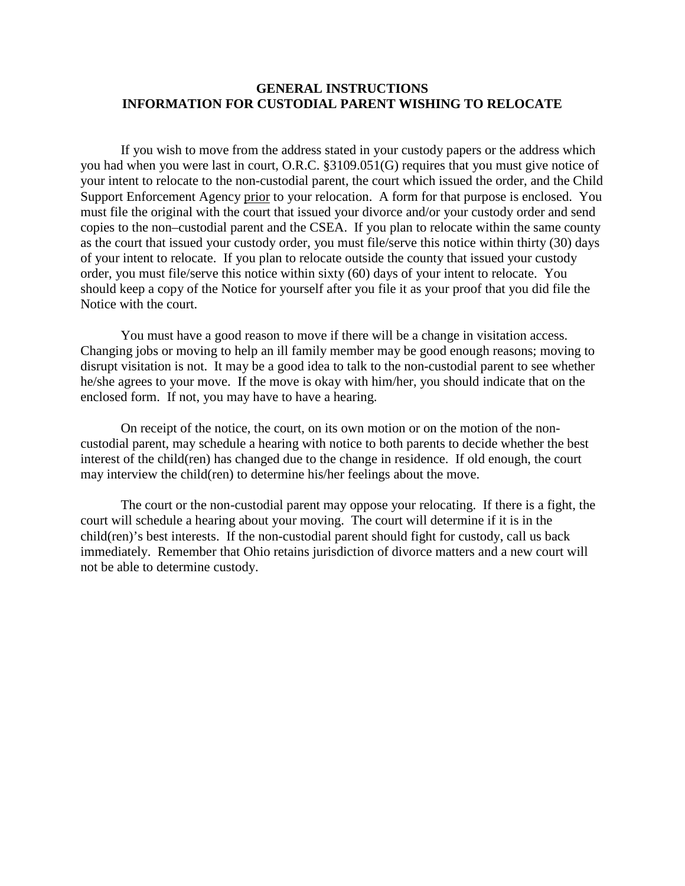## **GENERAL INSTRUCTIONS INFORMATION FOR CUSTODIAL PARENT WISHING TO RELOCATE**

 If you wish to move from the address stated in your custody papers or the address which you had when you were last in court, O.R.C. §3109.051(G) requires that you must give notice of your intent to relocate to the non-custodial parent, the court which issued the order, and the Child Support Enforcement Agency prior to your relocation. A form for that purpose is enclosed. You must file the original with the court that issued your divorce and/or your custody order and send copies to the non–custodial parent and the CSEA. If you plan to relocate within the same county as the court that issued your custody order, you must file/serve this notice within thirty (30) days of your intent to relocate. If you plan to relocate outside the county that issued your custody order, you must file/serve this notice within sixty (60) days of your intent to relocate. You should keep a copy of the Notice for yourself after you file it as your proof that you did file the Notice with the court.

 You must have a good reason to move if there will be a change in visitation access. Changing jobs or moving to help an ill family member may be good enough reasons; moving to disrupt visitation is not. It may be a good idea to talk to the non-custodial parent to see whether he/she agrees to your move. If the move is okay with him/her, you should indicate that on the enclosed form. If not, you may have to have a hearing.

 On receipt of the notice, the court, on its own motion or on the motion of the noncustodial parent, may schedule a hearing with notice to both parents to decide whether the best interest of the child(ren) has changed due to the change in residence. If old enough, the court may interview the child(ren) to determine his/her feelings about the move.

 The court or the non-custodial parent may oppose your relocating. If there is a fight, the court will schedule a hearing about your moving. The court will determine if it is in the child(ren)'s best interests. If the non-custodial parent should fight for custody, call us back immediately. Remember that Ohio retains jurisdiction of divorce matters and a new court will not be able to determine custody.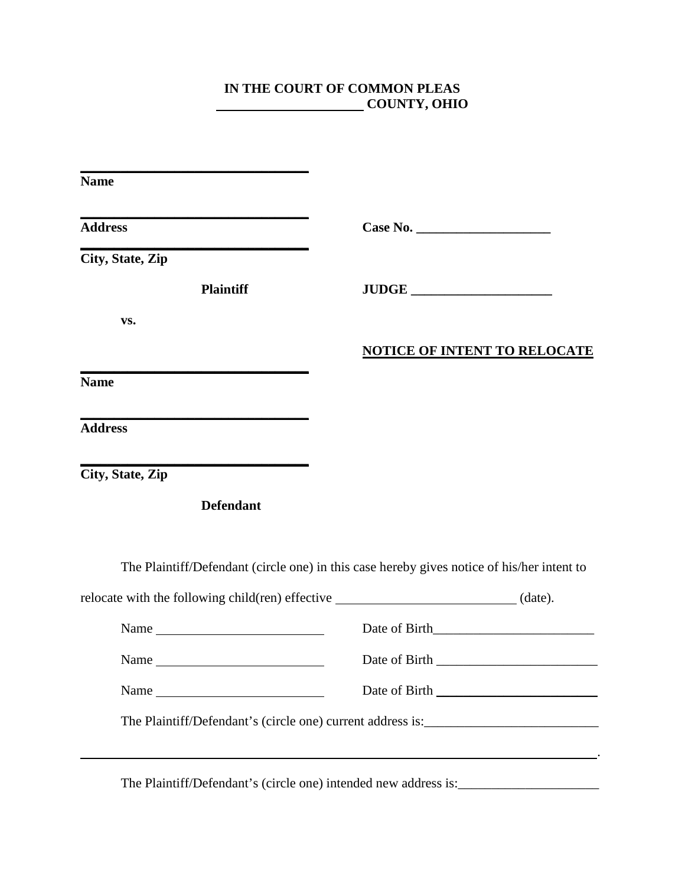## **IN THE COURT OF COMMON PLEAS COUNTY, OHIO**

| <b>Name</b>                                                                            |                                                                                                                       |
|----------------------------------------------------------------------------------------|-----------------------------------------------------------------------------------------------------------------------|
| <b>Address</b>                                                                         |                                                                                                                       |
| City, State, Zip                                                                       |                                                                                                                       |
| <b>Plaintiff</b>                                                                       | JUDGE                                                                                                                 |
| VS.                                                                                    |                                                                                                                       |
|                                                                                        | <b>NOTICE OF INTENT TO RELOCATE</b>                                                                                   |
| <b>Name</b>                                                                            |                                                                                                                       |
| <b>Address</b>                                                                         |                                                                                                                       |
| City, State, Zip                                                                       |                                                                                                                       |
| <b>Defendant</b>                                                                       |                                                                                                                       |
|                                                                                        | The Plaintiff/Defendant (circle one) in this case hereby gives notice of his/her intent to                            |
| relocate with the following child(ren) effective ______________________________(date). |                                                                                                                       |
|                                                                                        | Date of Birth                                                                                                         |
|                                                                                        |                                                                                                                       |
| Name                                                                                   | Date of Birth                                                                                                         |
|                                                                                        | The Plaintiff/Defendant's (circle one) current address is: ______________________                                     |
|                                                                                        | <u>en de la componentación de la componentación de la componentación de la componentación de la componentación de</u> |